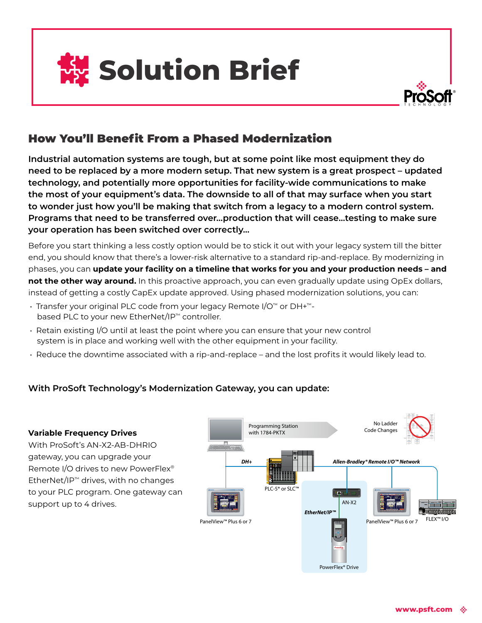



### How You'll Benefit From a Phased Modernization

**Industrial automation systems are tough, but at some point like most equipment they do need to be replaced by a more modern setup. That new system is a great prospect – updated technology, and potentially more opportunities for facility-wide communications to make the most of your equipment's data. The downside to all of that may surface when you start to wonder just how you'll be making that switch from a legacy to a modern control system. Programs that need to be transferred over…production that will cease…testing to make sure your operation has been switched over correctly…**

Before you start thinking a less costly option would be to stick it out with your legacy system till the bitter end, you should know that there's a lower-risk alternative to a standard rip-and-replace. By modernizing in phases, you can **update your facility on a timeline that works for you and your production needs – and not the other way around.** In this proactive approach, you can even gradually update using OpEx dollars, instead of getting a costly CapEx update approved. Using phased modernization solutions, you can:

- Transfer your original PLC code from your legacy Remote I/O™ or DH+™ based PLC to your new EtherNet/IP™ controller.
- Retain existing I/O until at least the point where you can ensure that your new control system is in place and working well with the other equipment in your facility.
- Reduce the downtime associated with a rip-and-replace and the lost profits it would likely lead to.

### **With ProSoft Technology's Modernization Gateway, you can update:**

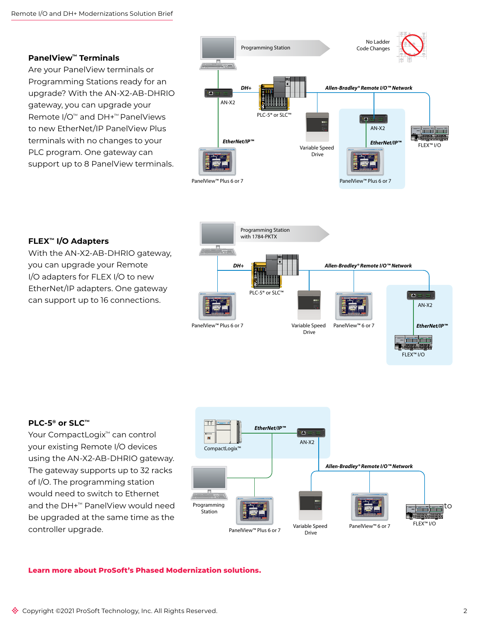### **PanelView™ Terminals**

Are your PanelView terminals or Programming Stations ready for an upgrade? With the AN-X2-AB-DHRIO gateway, you can upgrade your Remote I/O™ and DH+™ PanelViews to new EtherNet/IP PanelView Plus terminals with no changes to your PLC program. One gateway can support up to 8 PanelView terminals.



#### **FLEX™ I/O Adapters**

With the AN-X2-AB-DHRIO gateway, you can upgrade your Remote I/O adapters for FLEX I/O to new EtherNet/IP adapters. One gateway can support up to 16 connections.



#### **PLC-5® or SLC™**

Your CompactLogix™ can control your existing Remote I/O devices using the AN-X2-AB-DHRIO gateway. The gateway supports up to 32 racks of I/O. The programming station would need to switch to Ethernet be upgraded at the same time as the controller upgrade.



#### **[Learn more about ProSoft's Phased Modernization solutions.](https://www.prosoft-technology.com/Landing-Pages/Modernization)**